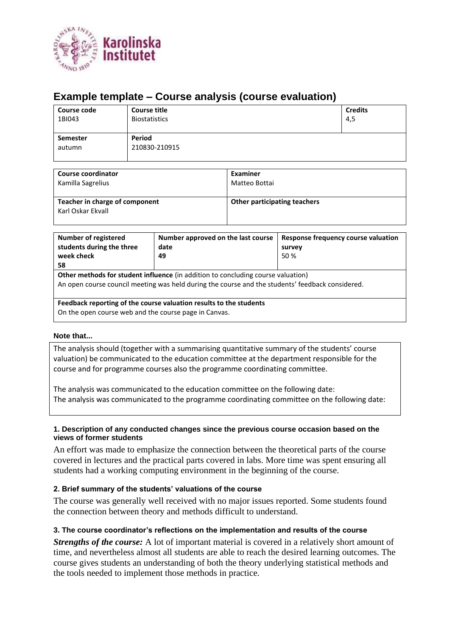

# **Example template – Course analysis (course evaluation)**

| Course code<br>1BI043 | <b>Course title</b><br><b>Biostatistics</b> | <b>Credits</b><br>4,5 |
|-----------------------|---------------------------------------------|-----------------------|
| <b>Semester</b>       | Period                                      |                       |
| autumn                | 210830-210915                               |                       |

| Course coordinator                                  | Examiner                            |
|-----------------------------------------------------|-------------------------------------|
| Kamilla Sagrelius                                   | Matteo Bottai                       |
| Teacher in charge of component<br>Karl Oskar Ekvall | <b>Other participating teachers</b> |

| <b>Number of registered</b><br>students during the three<br>week check<br>58                                                                                                                | Number approved on the last course<br>date<br>49 | Response frequency course valuation<br>survey<br>50 % |  |  |
|---------------------------------------------------------------------------------------------------------------------------------------------------------------------------------------------|--------------------------------------------------|-------------------------------------------------------|--|--|
| <b>Other methods for student influence</b> (in addition to concluding course valuation)<br>An open course council meeting was held during the course and the students' feedback considered. |                                                  |                                                       |  |  |
| Feedback reporting of the course valuation results to the students<br>On the open course web and the course page in Canvas.                                                                 |                                                  |                                                       |  |  |

#### **Note that...**

The analysis should (together with a summarising quantitative summary of the students' course valuation) be communicated to the education committee at the department responsible for the course and for programme courses also the programme coordinating committee.

The analysis was communicated to the education committee on the following date: The analysis was communicated to the programme coordinating committee on the following date:

#### **1. Description of any conducted changes since the previous course occasion based on the views of former students**

An effort was made to emphasize the connection between the theoretical parts of the course covered in lectures and the practical parts covered in labs. More time was spent ensuring all students had a working computing environment in the beginning of the course.

#### **2. Brief summary of the students' valuations of the course**

The course was generally well received with no major issues reported. Some students found the connection between theory and methods difficult to understand.

#### **3. The course coordinator's reflections on the implementation and results of the course**

*Strengths of the course:* A lot of important material is covered in a relatively short amount of time, and nevertheless almost all students are able to reach the desired learning outcomes. The course gives students an understanding of both the theory underlying statistical methods and the tools needed to implement those methods in practice.